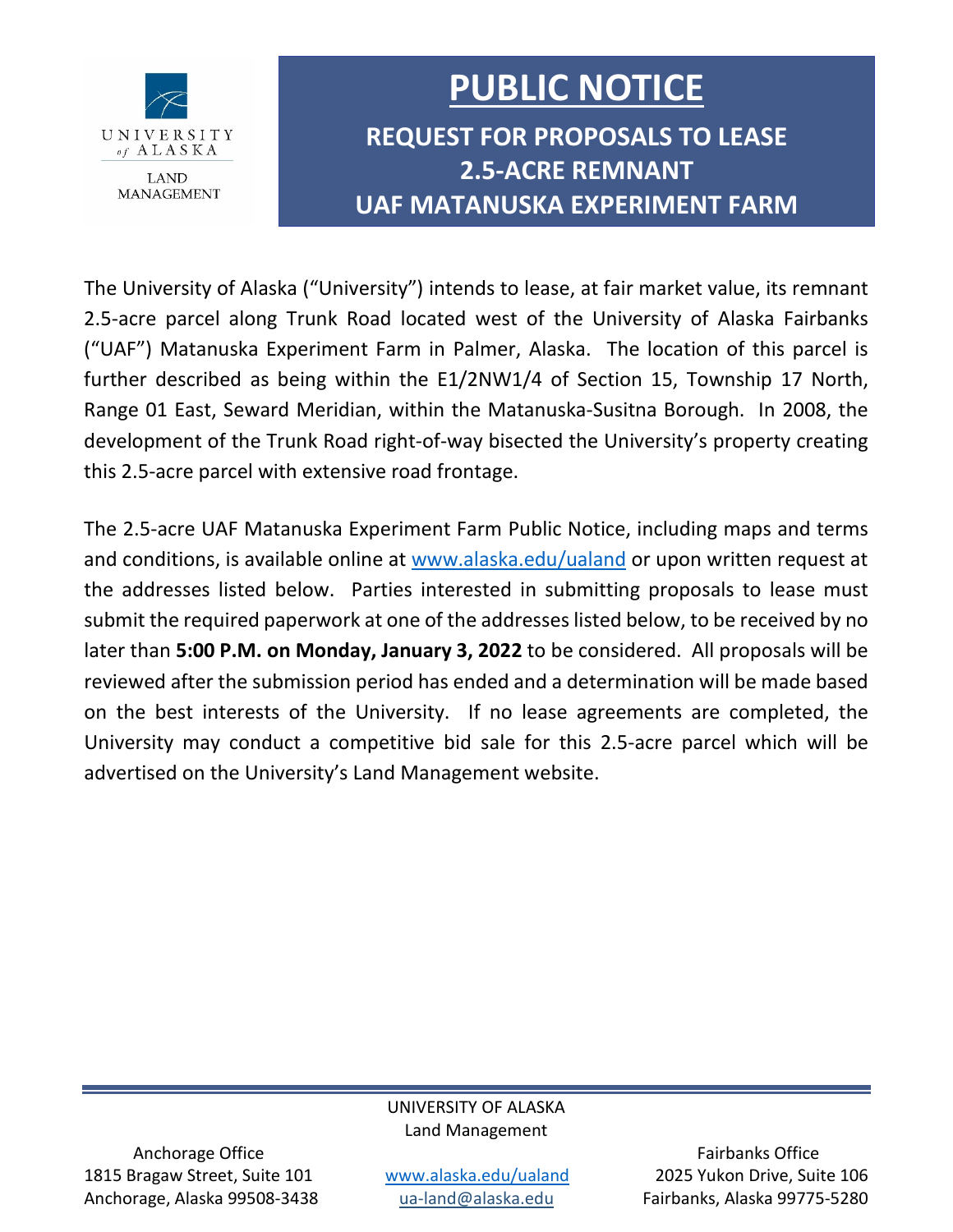

# **PUBLIC NOTICE**

**REQUEST FOR PROPOSALS TO LEASE 2.5-ACRE REMNANT UAF MATANUSKA EXPERIMENT FARM**

The University of Alaska ("University") intends to lease, at fair market value, its remnant 2.5-acre parcel along Trunk Road located west of the University of Alaska Fairbanks ("UAF") Matanuska Experiment Farm in Palmer, Alaska. The location of this parcel is further described as being within the E1/2NW1/4 of Section 15, Township 17 North, Range 01 East, Seward Meridian, within the Matanuska-Susitna Borough. In 2008, the development of the Trunk Road right-of-way bisected the University's property creating this 2.5-acre parcel with extensive road frontage.

The 2.5-acre UAF Matanuska Experiment Farm Public Notice, including maps and terms and conditions, is available online at [www.alaska.edu/ualand](https://www.alaska.edu/ualand) or upon written request at the addresses listed below. Parties interested in submitting proposals to lease must submit the required paperwork at one of the addresses listed below, to be received by no later than **5:00 P.M. on Monday, January 3, 2022** to be considered. All proposals will be reviewed after the submission period has ended and a determination will be made based on the best interests of the University. If no lease agreements are completed, the University may conduct a competitive bid sale for this 2.5-acre parcel which will be advertised on the University's Land Management website.

## UNIVERSITY OF ALASKA Land Management

Anchorage Office **Fairbanks** Office 1815 Bragaw Street, Suite 101 [www.alaska.edu/ualand](file://sw-lynx.apps.ad.alaska.edu/LandManagement/ADMINISTRATIVE/Development%20and%20Disposal%20Plans%20(LAND%EF%80%A5)/FY22%20Plans/6%20UAF%202.5-acre%20RFP%20to%20Lease/www.alaska.edu/ualand) 2025 Yukon Drive, Suite 106 Anchorage, Alaska 99508-3438 [ua-land@alaska.edu](mailto:ua-land@alaska.edu) Fairbanks, Alaska 99775-5280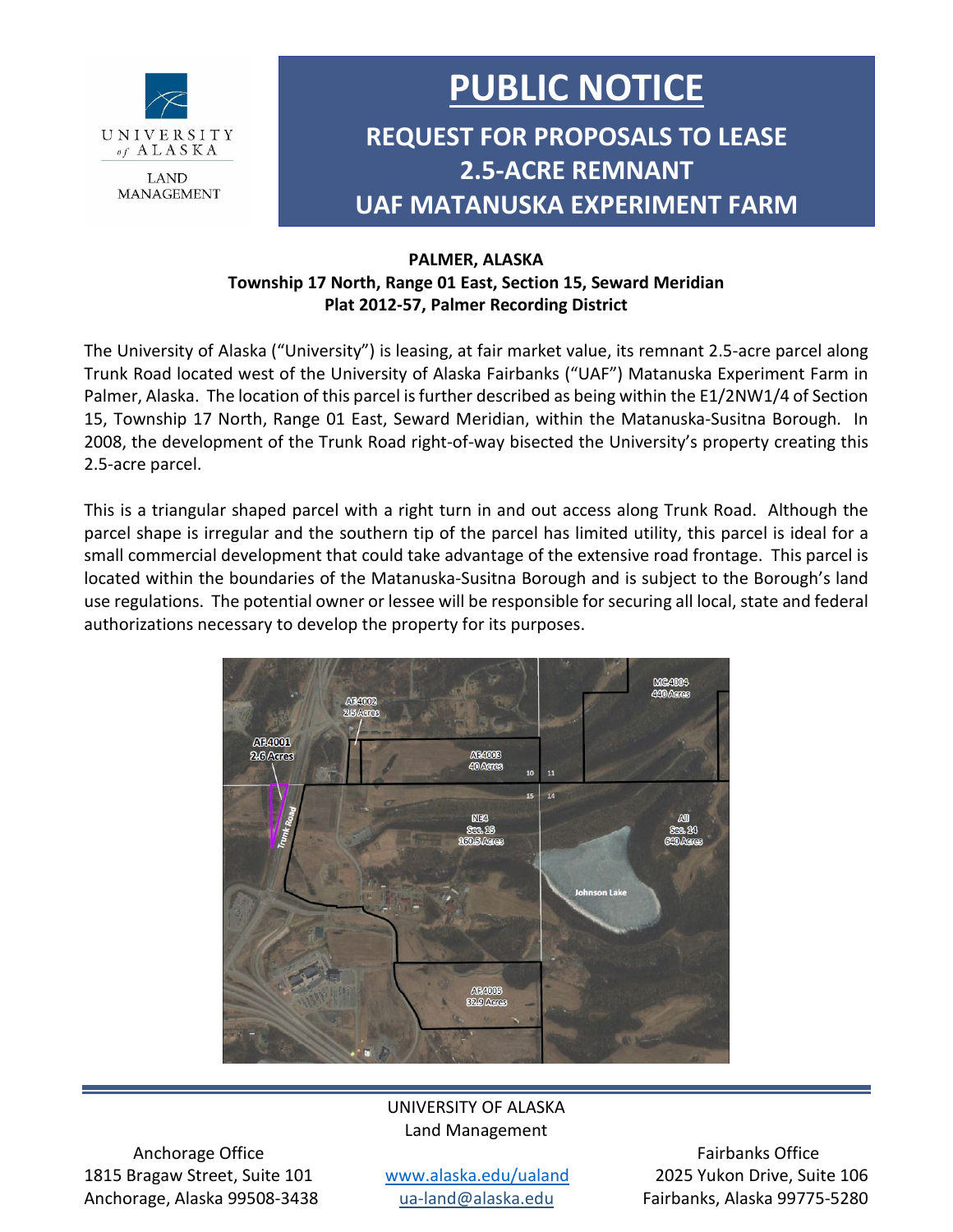

# **PUBLIC NOTICE**

## **REQUEST FOR PROPOSALS TO LEASE 2.5-ACRE REMNANT UAF MATANUSKA EXPERIMENT FARM**

## **PALMER, ALASKA Township 17 North, Range 01 East, Section 15, Seward Meridian Plat 2012-57, Palmer Recording District**

The University of Alaska ("University") is leasing, at fair market value, its remnant 2.5-acre parcel along Trunk Road located west of the University of Alaska Fairbanks ("UAF") Matanuska Experiment Farm in Palmer, Alaska. The location of this parcel is further described as being within the E1/2NW1/4 of Section 15, Township 17 North, Range 01 East, Seward Meridian, within the Matanuska-Susitna Borough. In 2008, the development of the Trunk Road right-of-way bisected the University's property creating this 2.5-acre parcel.

This is a triangular shaped parcel with a right turn in and out access along Trunk Road. Although the parcel shape is irregular and the southern tip of the parcel has limited utility, this parcel is ideal for a small commercial development that could take advantage of the extensive road frontage. This parcel is located within the boundaries of the Matanuska-Susitna Borough and is subject to the Borough's land use regulations. The potential owner or lessee will be responsible for securing all local, state and federal authorizations necessary to develop the property for its purposes.



## UNIVERSITY OF ALASKA Land Management

Anchorage Office **Fairbanks Office Fairbanks Office Fairbanks Office** 1815 Bragaw Street, Suite 101 [www.alaska.edu/ualand](file://sw-lynx.apps.ad.alaska.edu/LandManagement/ADMINISTRATIVE/Development%20and%20Disposal%20Plans%20(LAND%EF%80%A5)/FY22%20Plans/6%20UAF%202.5-acre%20RFP%20to%20Lease/www.alaska.edu/ualand) 2025 Yukon Drive, Suite 106 Anchorage, Alaska 99508-3438 [ua-land@alaska.edu](mailto:ua-land@alaska.edu) Fairbanks, Alaska 99775-5280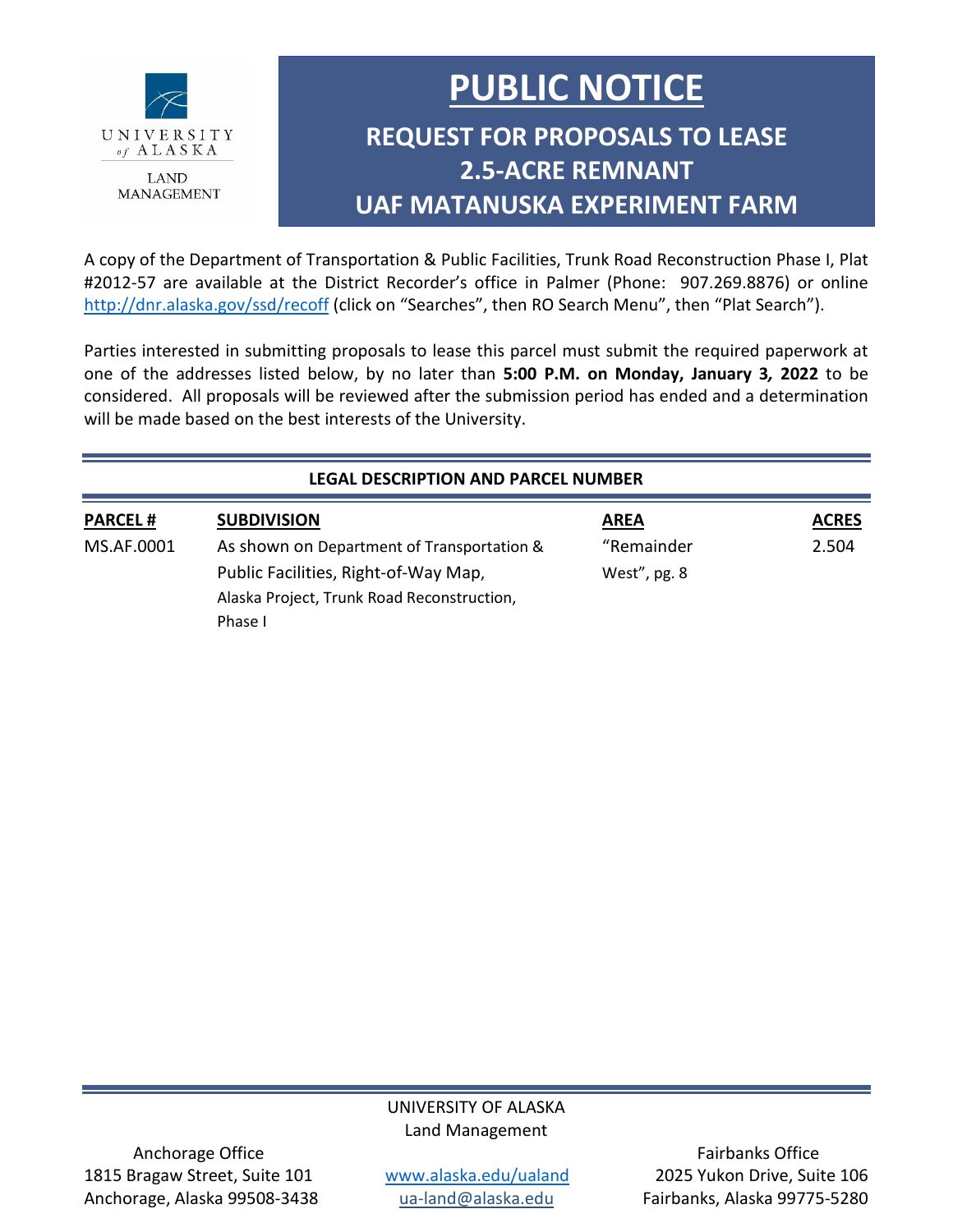

# **PUBLIC NOTICE**

## **REQUEST FOR PROPOSALS TO LEASE 2.5-ACRE REMNANT UAF MATANUSKA EXPERIMENT FARM**

A copy of the Department of Transportation & Public Facilities, Trunk Road Reconstruction Phase I, Plat #2012-57 are available at the District Recorder's office in Palmer (Phone: 907.269.8876) or online <http://dnr.alaska.gov/ssd/recoff> (click on "Searches", then RO Search Menu", then "Plat Search").

Parties interested in submitting proposals to lease this parcel must submit the required paperwork at one of the addresses listed below, by no later than **5:00 P.M. on Monday, January 3***,* **2022** to be considered. All proposals will be reviewed after the submission period has ended and a determination will be made based on the best interests of the University.

### **LEGAL DESCRIPTION AND PARCEL NUMBER**

| <b>PARCEL#</b> | <b>SUBDIVISION</b>                         | <b>AREA</b>  | <b>ACRES</b> |
|----------------|--------------------------------------------|--------------|--------------|
| MS.AF.0001     | As shown on Department of Transportation & | "Remainder   | 2.504        |
|                | Public Facilities, Right-of-Way Map,       | West", pg. 8 |              |
|                | Alaska Project, Trunk Road Reconstruction, |              |              |
|                | Phase I                                    |              |              |

## UNIVERSITY OF ALASKA Land Management

Anchorage Office **Fairbanks Office Fairbanks Office Fairbanks Office** 1815 Bragaw Street, Suite 101 [www.alaska.edu/ualand](file://sw-lynx.apps.ad.alaska.edu/LandManagement/ADMINISTRATIVE/Development%20and%20Disposal%20Plans%20(LAND%EF%80%A5)/FY22%20Plans/6%20UAF%202.5-acre%20RFP%20to%20Lease/www.alaska.edu/ualand) 2025 Yukon Drive, Suite 106 Anchorage, Alaska 99508-3438 [ua-land@alaska.edu](mailto:ua-land@alaska.edu) Fairbanks, Alaska 99775-5280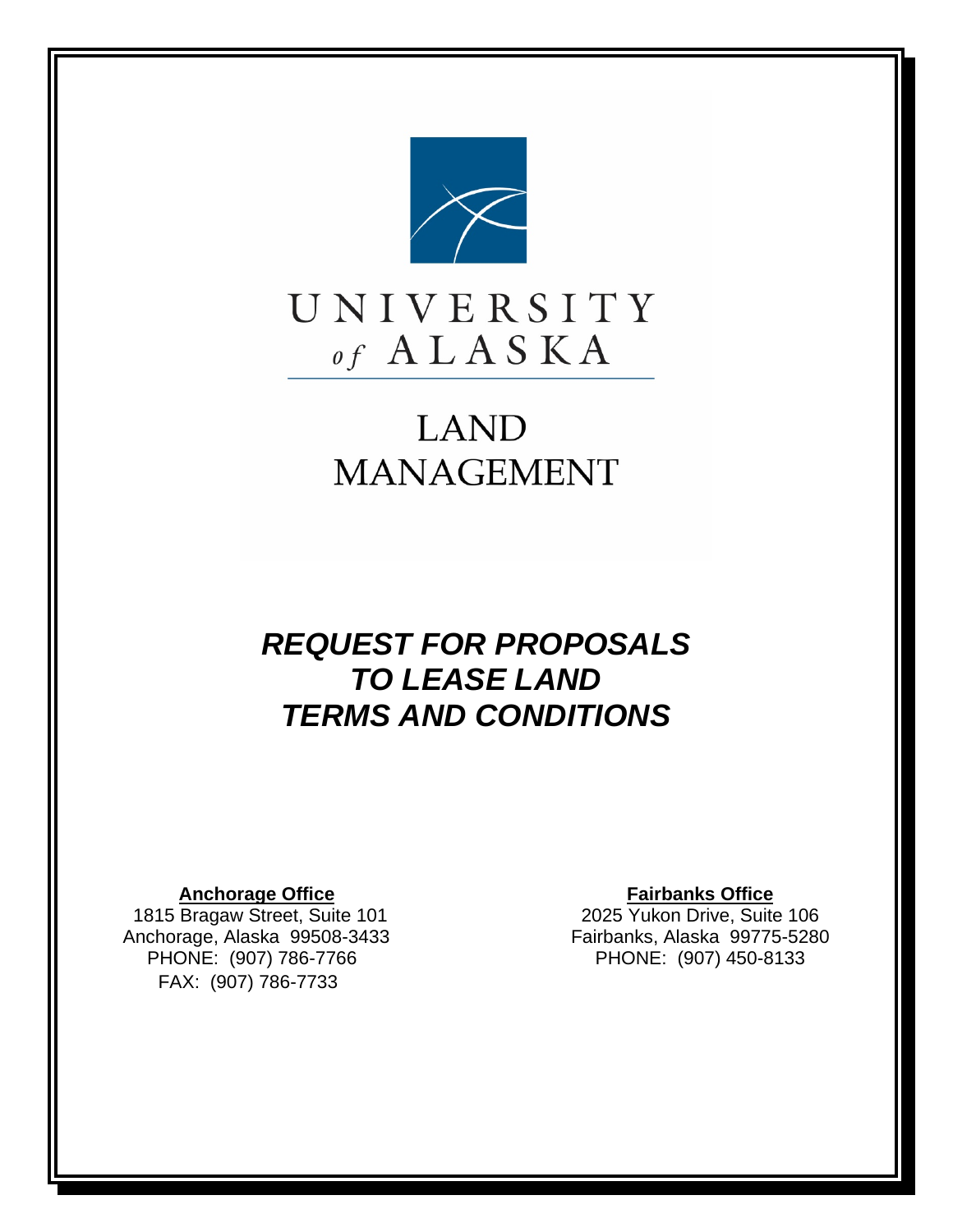

## **LAND MANAGEMENT**

## *REQUEST FOR PROPOSALS TO LEASE LAND TERMS AND CONDITIONS*

1815 Bragaw Street, Suite 101 Anchorage, Alaska 99508-3433 Fairbanks, Alaska 99775-5280 PHONE: (907) 786-7766 PHONE: (907) 450-8133 FAX: (907) 786-7733

**Anchorage Office Fairbanks Office**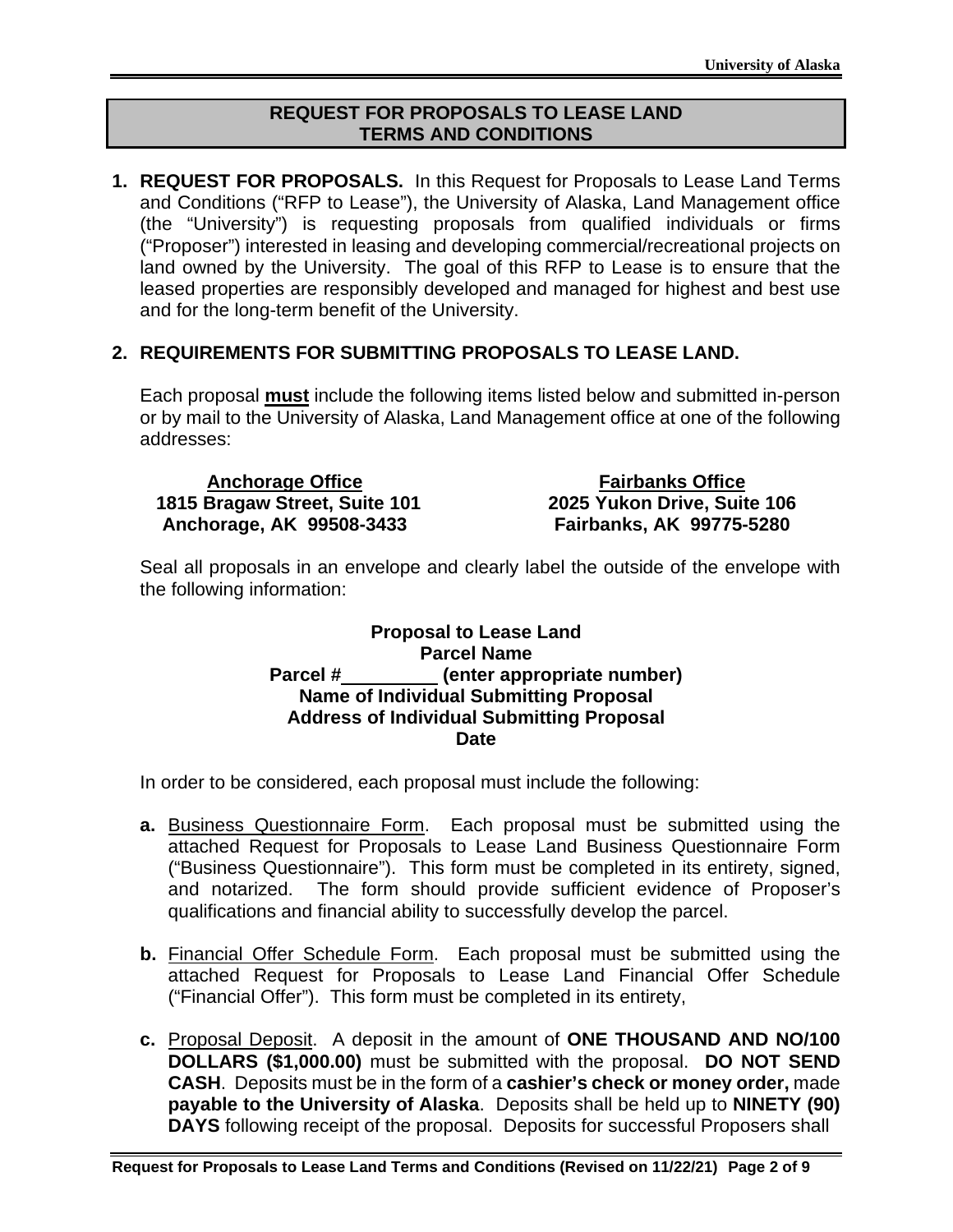## **REQUEST FOR PROPOSALS TO LEASE LAND TERMS AND CONDITIONS**

**1. REQUEST FOR PROPOSALS.** In this Request for Proposals to Lease Land Terms and Conditions ("RFP to Lease"), the University of Alaska, Land Management office (the "University") is requesting proposals from qualified individuals or firms ("Proposer") interested in leasing and developing commercial/recreational projects on land owned by the University. The goal of this RFP to Lease is to ensure that the leased properties are responsibly developed and managed for highest and best use and for the long-term benefit of the University.

## **2. REQUIREMENTS FOR SUBMITTING PROPOSALS TO LEASE LAND.**

Each proposal **must** include the following items listed below and submitted in-person or by mail to the University of Alaska, Land Management office at one of the following addresses:

| <b>Anchorage Office</b>       | <b>Fairbanks Office</b>         |
|-------------------------------|---------------------------------|
| 1815 Bragaw Street, Suite 101 | 2025 Yukon Drive, Suite 106     |
| Anchorage, AK 99508-3433      | <b>Fairbanks, AK 99775-5280</b> |

Seal all proposals in an envelope and clearly label the outside of the envelope with the following information:

### **Proposal to Lease Land Parcel Name** Parcel # (enter appropriate number) **Name of Individual Submitting Proposal Address of Individual Submitting Proposal Date**

In order to be considered, each proposal must include the following:

- **a.** Business Questionnaire Form. Each proposal must be submitted using the attached Request for Proposals to Lease Land Business Questionnaire Form ("Business Questionnaire"). This form must be completed in its entirety, signed, and notarized. The form should provide sufficient evidence of Proposer's qualifications and financial ability to successfully develop the parcel.
- **b.** Financial Offer Schedule Form. Each proposal must be submitted using the attached Request for Proposals to Lease Land Financial Offer Schedule ("Financial Offer"). This form must be completed in its entirety,
- **c.** Proposal Deposit. A deposit in the amount of **ONE THOUSAND AND NO/100 DOLLARS (\$1,000.00)** must be submitted with the proposal. **DO NOT SEND CASH**. Deposits must be in the form of a **cashier's check or money order,** made **payable to the University of Alaska**. Deposits shall be held up to **NINETY (90) DAYS** following receipt of the proposal. Deposits for successful Proposers shall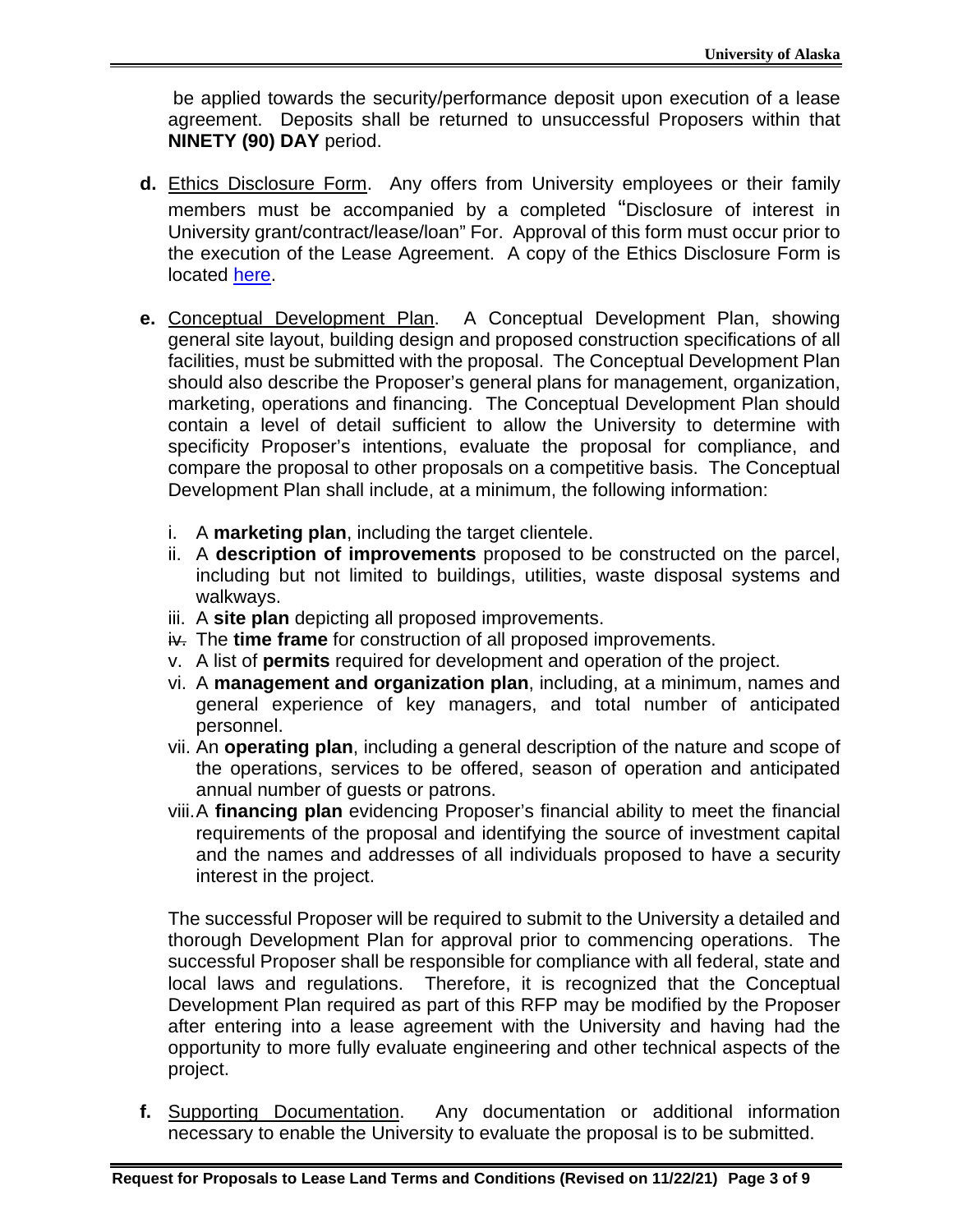be applied towards the security/performance deposit upon execution of a lease agreement. Deposits shall be returned to unsuccessful Proposers within that **NINETY (90) DAY** period.

- **d.** Ethics Disclosure Form. Any offers from University employees or their family members must be accompanied by a completed "Disclosure of interest in University grant/contract/lease/loan" For. Approval of this form must occur prior to the execution of the Lease Agreement. A copy of the Ethics Disclosure Form is located [here.](https://www.alaska.edu/counsel/ethics-information/Ethics%20Disclosure%20Form%20grants.pdf)
- **e.** Conceptual Development Plan. A Conceptual Development Plan, showing general site layout, building design and proposed construction specifications of all facilities, must be submitted with the proposal. The Conceptual Development Plan should also describe the Proposer's general plans for management, organization, marketing, operations and financing. The Conceptual Development Plan should contain a level of detail sufficient to allow the University to determine with specificity Proposer's intentions, evaluate the proposal for compliance, and compare the proposal to other proposals on a competitive basis. The Conceptual Development Plan shall include, at a minimum, the following information:
	- i. A **marketing plan**, including the target clientele.
	- ii. A **description of improvements** proposed to be constructed on the parcel, including but not limited to buildings, utilities, waste disposal systems and walkways.
	- iii. A **site plan** depicting all proposed improvements.
	- iv. The **time frame** for construction of all proposed improvements.
	- v. A list of **permits** required for development and operation of the project.
	- vi. A **management and organization plan**, including, at a minimum, names and general experience of key managers, and total number of anticipated personnel.
	- vii. An **operating plan**, including a general description of the nature and scope of the operations, services to be offered, season of operation and anticipated annual number of guests or patrons.
	- viii.A **financing plan** evidencing Proposer's financial ability to meet the financial requirements of the proposal and identifying the source of investment capital and the names and addresses of all individuals proposed to have a security interest in the project.

The successful Proposer will be required to submit to the University a detailed and thorough Development Plan for approval prior to commencing operations. The successful Proposer shall be responsible for compliance with all federal, state and local laws and regulations. Therefore, it is recognized that the Conceptual Development Plan required as part of this RFP may be modified by the Proposer after entering into a lease agreement with the University and having had the opportunity to more fully evaluate engineering and other technical aspects of the project.

**f.** Supporting Documentation. Any documentation or additional information necessary to enable the University to evaluate the proposal is to be submitted.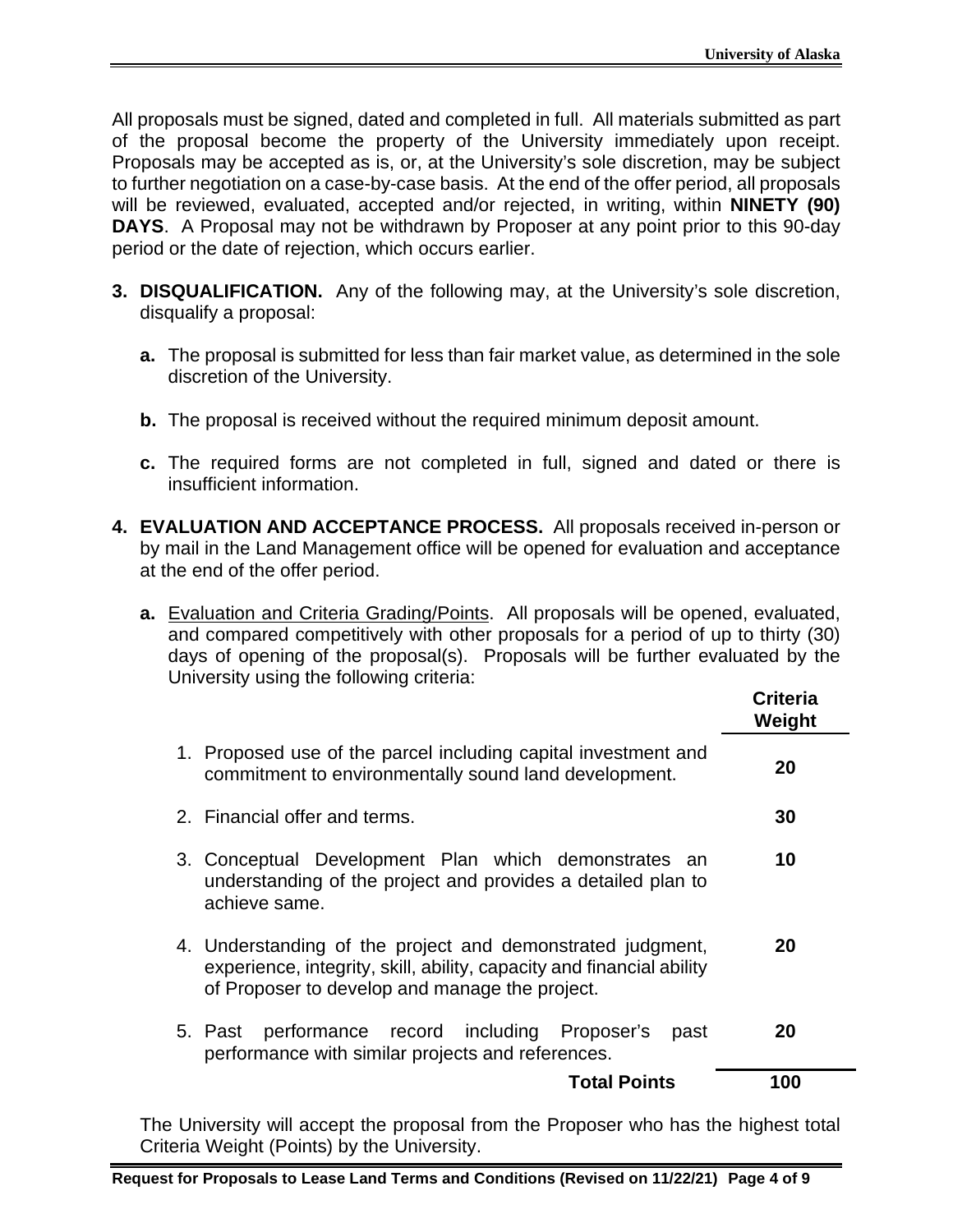All proposals must be signed, dated and completed in full. All materials submitted as part of the proposal become the property of the University immediately upon receipt. Proposals may be accepted as is, or, at the University's sole discretion, may be subject to further negotiation on a case-by-case basis. At the end of the offer period, all proposals will be reviewed, evaluated, accepted and/or rejected, in writing, within **NINETY (90) DAYS**. A Proposal may not be withdrawn by Proposer at any point prior to this 90-day period or the date of rejection, which occurs earlier.

- **3. DISQUALIFICATION.** Any of the following may, at the University's sole discretion, disqualify a proposal:
	- **a.** The proposal is submitted for less than fair market value, as determined in the sole discretion of the University.
	- **b.** The proposal is received without the required minimum deposit amount.
	- **c.** The required forms are not completed in full, signed and dated or there is insufficient information.
- **4. EVALUATION AND ACCEPTANCE PROCESS.** All proposals received in-person or by mail in the Land Management office will be opened for evaluation and acceptance at the end of the offer period.
	- **a.** Evaluation and Criteria Grading/Points. All proposals will be opened, evaluated, and compared competitively with other proposals for a period of up to thirty (30) days of opening of the proposal(s). Proposals will be further evaluated by the University using the following criteria:

|                                                                                                                                                                                       | <b>Criteria</b><br>Weight |
|---------------------------------------------------------------------------------------------------------------------------------------------------------------------------------------|---------------------------|
| 1. Proposed use of the parcel including capital investment and<br>commitment to environmentally sound land development.                                                               | 20                        |
| 2. Financial offer and terms.                                                                                                                                                         | 30                        |
| 3. Conceptual Development Plan which demonstrates an<br>understanding of the project and provides a detailed plan to<br>achieve same.                                                 | 10                        |
| 4. Understanding of the project and demonstrated judgment,<br>experience, integrity, skill, ability, capacity and financial ability<br>of Proposer to develop and manage the project. | 20                        |
| performance record including Proposer's<br>5. Past<br>past<br>performance with similar projects and references.                                                                       | 20                        |
| <b>Total Points</b>                                                                                                                                                                   | 100                       |
|                                                                                                                                                                                       |                           |

The University will accept the proposal from the Proposer who has the highest total Criteria Weight (Points) by the University.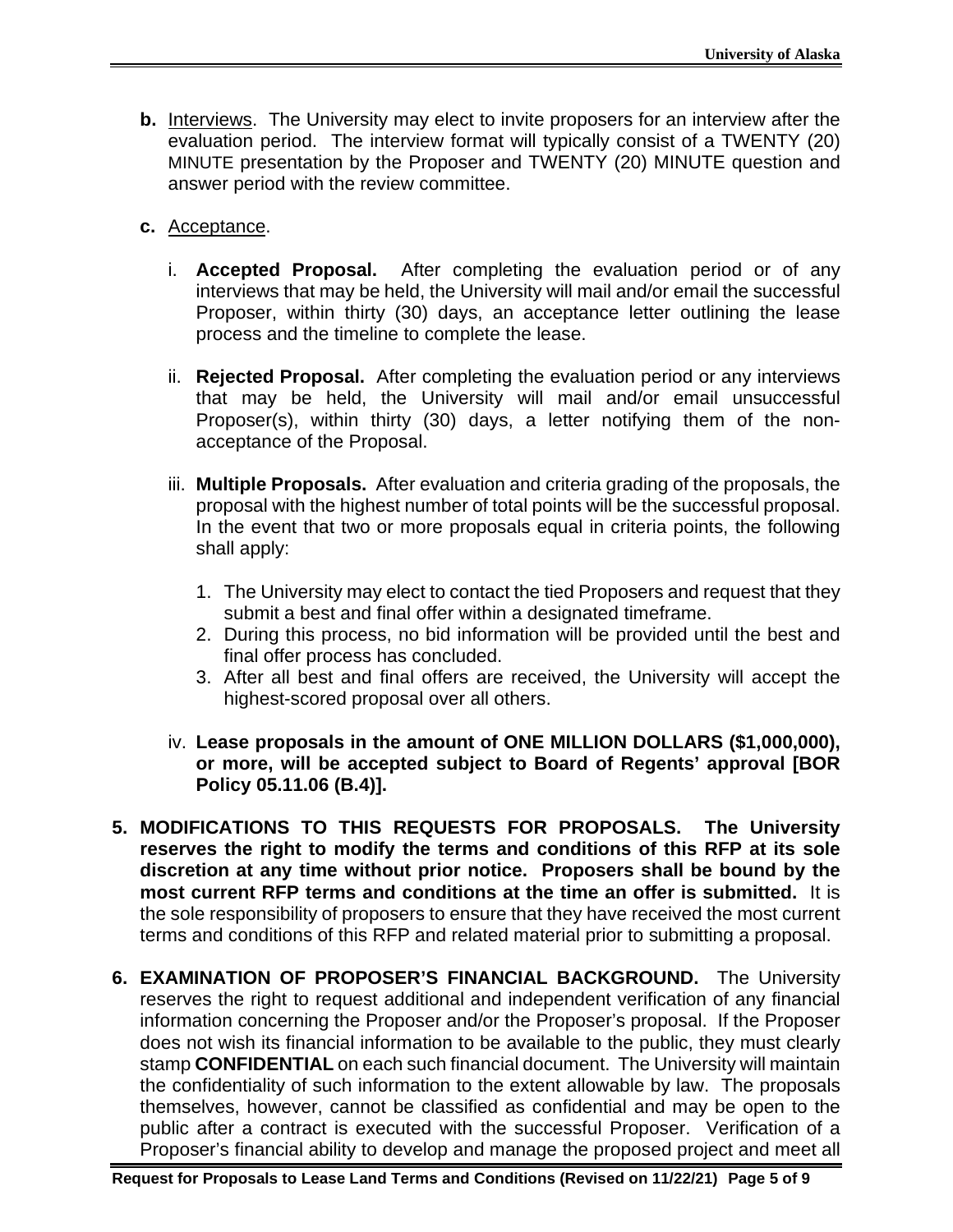- **b.** Interviews. The University may elect to invite proposers for an interview after the evaluation period. The interview format will typically consist of a TWENTY (20) MINUTE presentation by the Proposer and TWENTY (20) MINUTE question and answer period with the review committee.
- **c.** Acceptance.
	- i. **Accepted Proposal.** After completing the evaluation period or of any interviews that may be held, the University will mail and/or email the successful Proposer, within thirty (30) days, an acceptance letter outlining the lease process and the timeline to complete the lease.
	- ii. **Rejected Proposal.** After completing the evaluation period or any interviews that may be held, the University will mail and/or email unsuccessful Proposer(s), within thirty (30) days, a letter notifying them of the nonacceptance of the Proposal.
	- iii. **Multiple Proposals.** After evaluation and criteria grading of the proposals, the proposal with the highest number of total points will be the successful proposal. In the event that two or more proposals equal in criteria points, the following shall apply:
		- 1. The University may elect to contact the tied Proposers and request that they submit a best and final offer within a designated timeframe.
		- 2. During this process, no bid information will be provided until the best and final offer process has concluded.
		- 3. After all best and final offers are received, the University will accept the highest-scored proposal over all others.
	- iv. **Lease proposals in the amount of ONE MILLION DOLLARS (\$1,000,000), or more, will be accepted subject to Board of Regents' approval [BOR Policy 05.11.06 (B.4)].**
- **5. MODIFICATIONS TO THIS REQUESTS FOR PROPOSALS. The University reserves the right to modify the terms and conditions of this RFP at its sole discretion at any time without prior notice. Proposers shall be bound by the most current RFP terms and conditions at the time an offer is submitted.** It is the sole responsibility of proposers to ensure that they have received the most current terms and conditions of this RFP and related material prior to submitting a proposal.
- **6. EXAMINATION OF PROPOSER'S FINANCIAL BACKGROUND.** The University reserves the right to request additional and independent verification of any financial information concerning the Proposer and/or the Proposer's proposal. If the Proposer does not wish its financial information to be available to the public, they must clearly stamp **CONFIDENTIAL** on each such financial document. The University will maintain the confidentiality of such information to the extent allowable by law. The proposals themselves, however, cannot be classified as confidential and may be open to the public after a contract is executed with the successful Proposer. Verification of a Proposer's financial ability to develop and manage the proposed project and meet all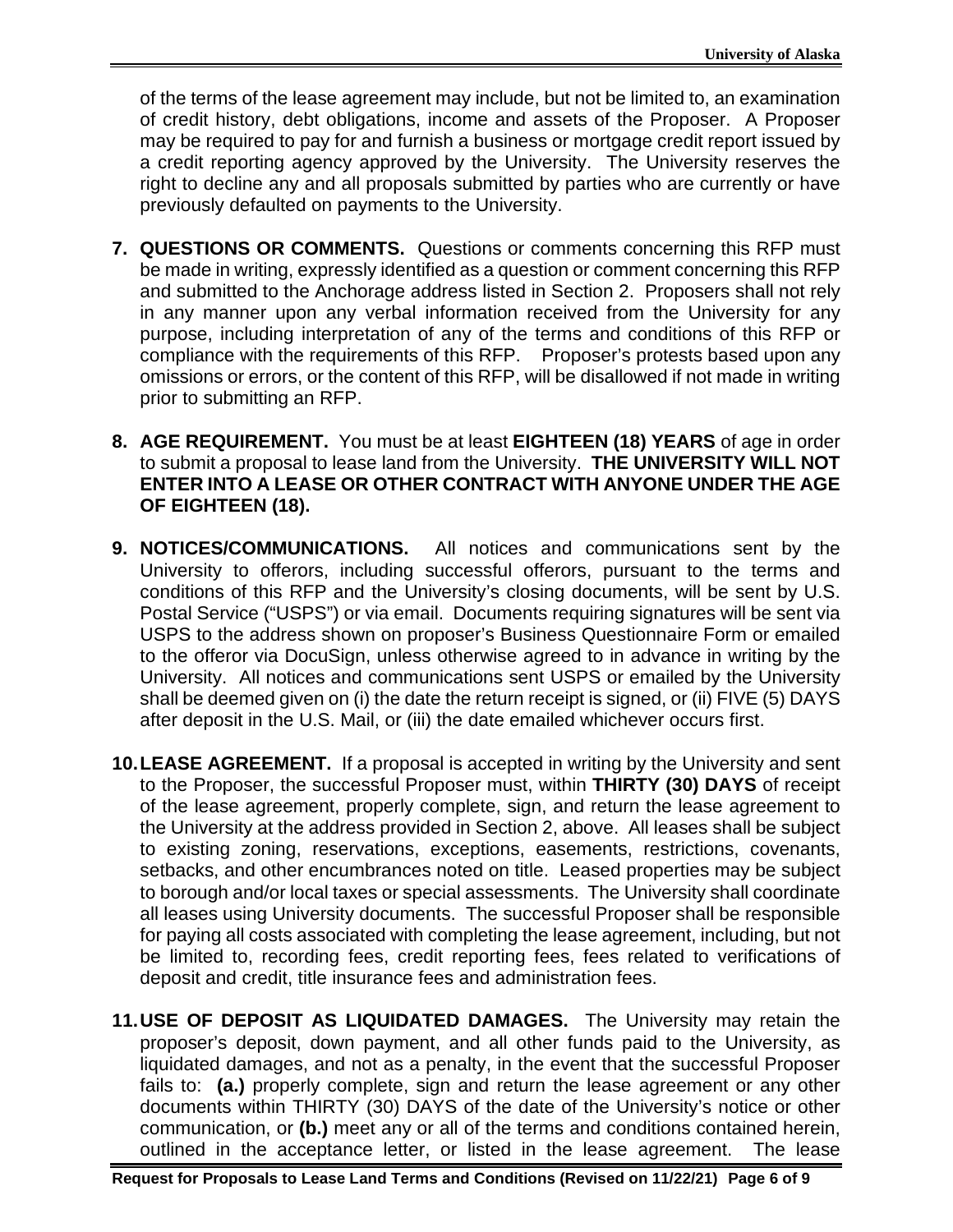of the terms of the lease agreement may include, but not be limited to, an examination of credit history, debt obligations, income and assets of the Proposer. A Proposer may be required to pay for and furnish a business or mortgage credit report issued by a credit reporting agency approved by the University. The University reserves the right to decline any and all proposals submitted by parties who are currently or have previously defaulted on payments to the University.

- **7. QUESTIONS OR COMMENTS.** Questions or comments concerning this RFP must be made in writing, expressly identified as a question or comment concerning this RFP and submitted to the Anchorage address listed in Section 2. Proposers shall not rely in any manner upon any verbal information received from the University for any purpose, including interpretation of any of the terms and conditions of this RFP or compliance with the requirements of this RFP. Proposer's protests based upon any omissions or errors, or the content of this RFP, will be disallowed if not made in writing prior to submitting an RFP.
- **8. AGE REQUIREMENT.** You must be at least **EIGHTEEN (18) YEARS** of age in order to submit a proposal to lease land from the University. **THE UNIVERSITY WILL NOT ENTER INTO A LEASE OR OTHER CONTRACT WITH ANYONE UNDER THE AGE OF EIGHTEEN (18).**
- **9. NOTICES/COMMUNICATIONS.** All notices and communications sent by the University to offerors, including successful offerors, pursuant to the terms and conditions of this RFP and the University's closing documents, will be sent by U.S. Postal Service ("USPS") or via email. Documents requiring signatures will be sent via USPS to the address shown on proposer's Business Questionnaire Form or emailed to the offeror via DocuSign, unless otherwise agreed to in advance in writing by the University. All notices and communications sent USPS or emailed by the University shall be deemed given on (i) the date the return receipt is signed, or (ii) FIVE (5) DAYS after deposit in the U.S. Mail, or (iii) the date emailed whichever occurs first.
- **10.LEASE AGREEMENT.** If a proposal is accepted in writing by the University and sent to the Proposer, the successful Proposer must, within **THIRTY (30) DAYS** of receipt of the lease agreement, properly complete, sign, and return the lease agreement to the University at the address provided in Section 2, above. All leases shall be subject to existing zoning, reservations, exceptions, easements, restrictions, covenants, setbacks, and other encumbrances noted on title. Leased properties may be subject to borough and/or local taxes or special assessments. The University shall coordinate all leases using University documents. The successful Proposer shall be responsible for paying all costs associated with completing the lease agreement, including, but not be limited to, recording fees, credit reporting fees, fees related to verifications of deposit and credit, title insurance fees and administration fees.
- **11.USE OF DEPOSIT AS LIQUIDATED DAMAGES.** The University may retain the proposer's deposit, down payment, and all other funds paid to the University, as liquidated damages, and not as a penalty, in the event that the successful Proposer fails to: **(a.)** properly complete, sign and return the lease agreement or any other documents within THIRTY (30) DAYS of the date of the University's notice or other communication, or **(b.)** meet any or all of the terms and conditions contained herein, outlined in the acceptance letter, or listed in the lease agreement. The lease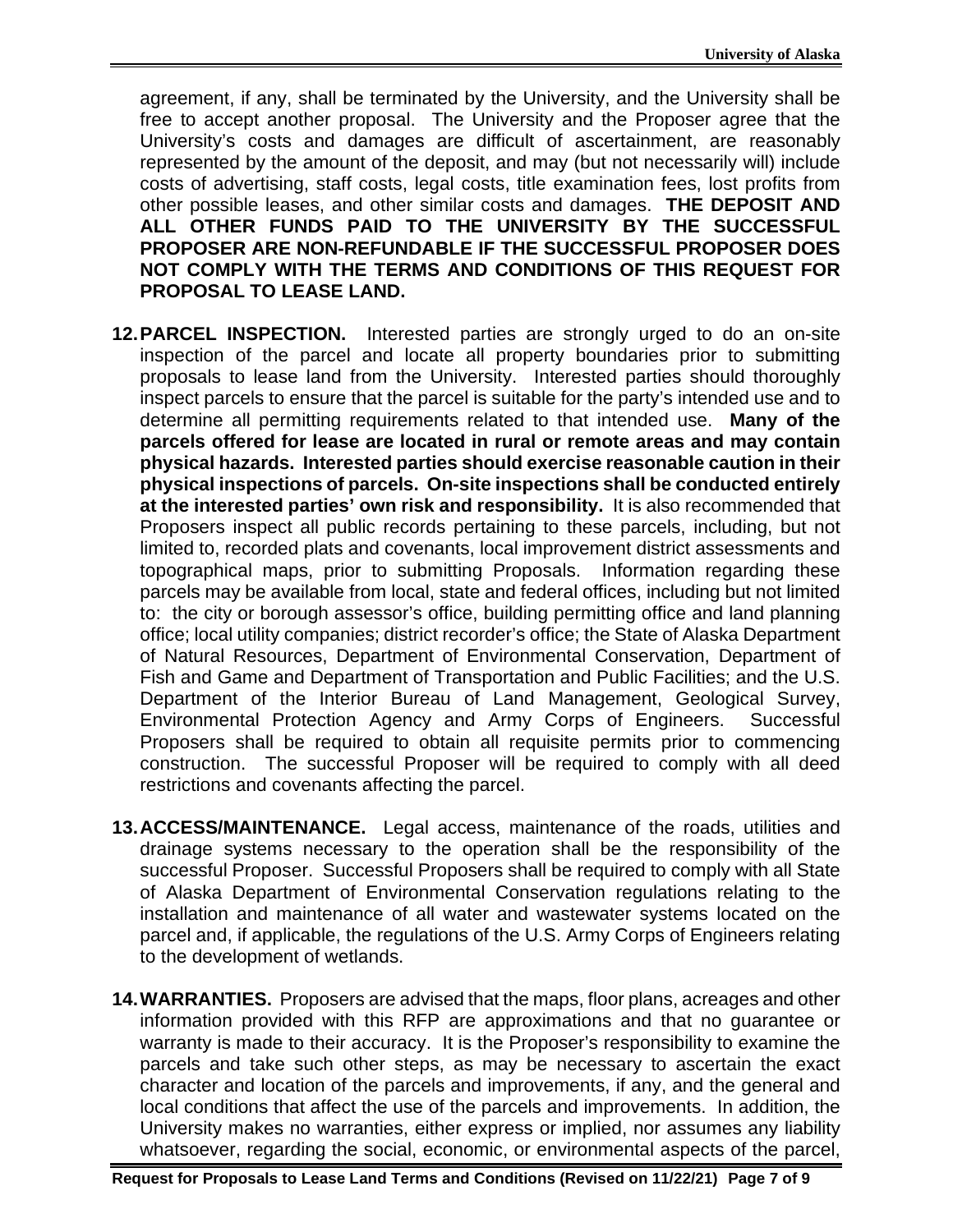agreement, if any, shall be terminated by the University, and the University shall be free to accept another proposal. The University and the Proposer agree that the University's costs and damages are difficult of ascertainment, are reasonably represented by the amount of the deposit, and may (but not necessarily will) include costs of advertising, staff costs, legal costs, title examination fees, lost profits from other possible leases, and other similar costs and damages. **THE DEPOSIT AND ALL OTHER FUNDS PAID TO THE UNIVERSITY BY THE SUCCESSFUL PROPOSER ARE NON-REFUNDABLE IF THE SUCCESSFUL PROPOSER DOES NOT COMPLY WITH THE TERMS AND CONDITIONS OF THIS REQUEST FOR PROPOSAL TO LEASE LAND.** 

- **12.PARCEL INSPECTION.** Interested parties are strongly urged to do an on-site inspection of the parcel and locate all property boundaries prior to submitting proposals to lease land from the University. Interested parties should thoroughly inspect parcels to ensure that the parcel is suitable for the party's intended use and to determine all permitting requirements related to that intended use. **Many of the parcels offered for lease are located in rural or remote areas and may contain physical hazards. Interested parties should exercise reasonable caution in their physical inspections of parcels. On-site inspections shall be conducted entirely at the interested parties' own risk and responsibility.** It is also recommended that Proposers inspect all public records pertaining to these parcels, including, but not limited to, recorded plats and covenants, local improvement district assessments and topographical maps, prior to submitting Proposals. Information regarding these parcels may be available from local, state and federal offices, including but not limited to: the city or borough assessor's office, building permitting office and land planning office; local utility companies; district recorder's office; the State of Alaska Department of Natural Resources, Department of Environmental Conservation, Department of Fish and Game and Department of Transportation and Public Facilities; and the U.S. Department of the Interior Bureau of Land Management, Geological Survey, Environmental Protection Agency and Army Corps of Engineers. Successful Proposers shall be required to obtain all requisite permits prior to commencing construction. The successful Proposer will be required to comply with all deed restrictions and covenants affecting the parcel.
- **13.ACCESS/MAINTENANCE.** Legal access, maintenance of the roads, utilities and drainage systems necessary to the operation shall be the responsibility of the successful Proposer. Successful Proposers shall be required to comply with all State of Alaska Department of Environmental Conservation regulations relating to the installation and maintenance of all water and wastewater systems located on the parcel and, if applicable, the regulations of the U.S. Army Corps of Engineers relating to the development of wetlands.
- **14.WARRANTIES.** Proposers are advised that the maps, floor plans, acreages and other information provided with this RFP are approximations and that no guarantee or warranty is made to their accuracy. It is the Proposer's responsibility to examine the parcels and take such other steps, as may be necessary to ascertain the exact character and location of the parcels and improvements, if any, and the general and local conditions that affect the use of the parcels and improvements. In addition, the University makes no warranties, either express or implied, nor assumes any liability whatsoever, regarding the social, economic, or environmental aspects of the parcel,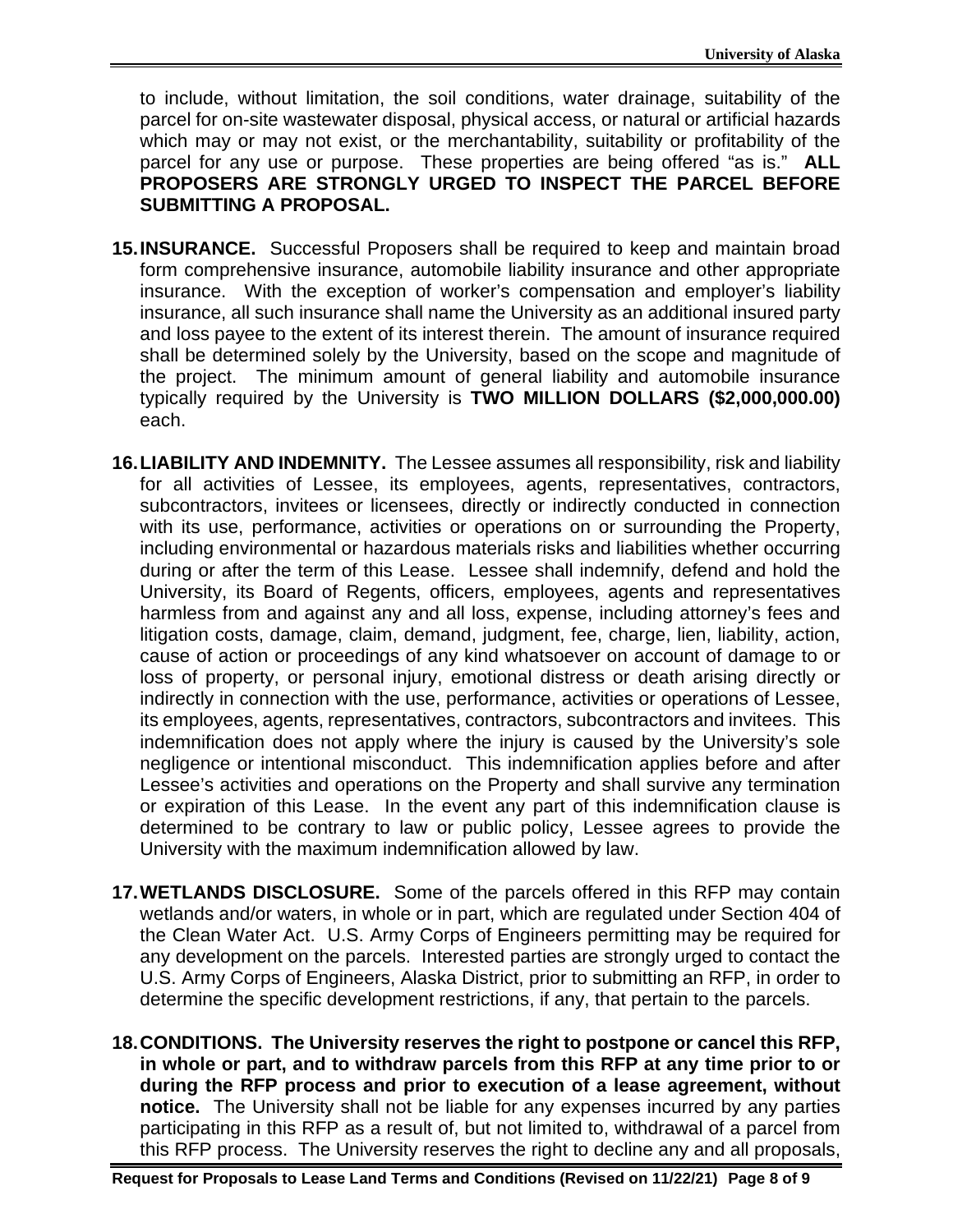to include, without limitation, the soil conditions, water drainage, suitability of the parcel for on-site wastewater disposal, physical access, or natural or artificial hazards which may or may not exist, or the merchantability, suitability or profitability of the parcel for any use or purpose. These properties are being offered "as is." **ALL PROPOSERS ARE STRONGLY URGED TO INSPECT THE PARCEL BEFORE SUBMITTING A PROPOSAL.**

- **15.INSURANCE.** Successful Proposers shall be required to keep and maintain broad form comprehensive insurance, automobile liability insurance and other appropriate insurance. With the exception of worker's compensation and employer's liability insurance, all such insurance shall name the University as an additional insured party and loss payee to the extent of its interest therein. The amount of insurance required shall be determined solely by the University, based on the scope and magnitude of the project. The minimum amount of general liability and automobile insurance typically required by the University is **TWO MILLION DOLLARS (\$2,000,000.00)** each.
- **16.LIABILITY AND INDEMNITY.** The Lessee assumes all responsibility, risk and liability for all activities of Lessee, its employees, agents, representatives, contractors, subcontractors, invitees or licensees, directly or indirectly conducted in connection with its use, performance, activities or operations on or surrounding the Property, including environmental or hazardous materials risks and liabilities whether occurring during or after the term of this Lease. Lessee shall indemnify, defend and hold the University, its Board of Regents, officers, employees, agents and representatives harmless from and against any and all loss, expense, including attorney's fees and litigation costs, damage, claim, demand, judgment, fee, charge, lien, liability, action, cause of action or proceedings of any kind whatsoever on account of damage to or loss of property, or personal injury, emotional distress or death arising directly or indirectly in connection with the use, performance, activities or operations of Lessee, its employees, agents, representatives, contractors, subcontractors and invitees. This indemnification does not apply where the injury is caused by the University's sole negligence or intentional misconduct. This indemnification applies before and after Lessee's activities and operations on the Property and shall survive any termination or expiration of this Lease. In the event any part of this indemnification clause is determined to be contrary to law or public policy, Lessee agrees to provide the University with the maximum indemnification allowed by law.
- **17.WETLANDS DISCLOSURE.** Some of the parcels offered in this RFP may contain wetlands and/or waters, in whole or in part, which are regulated under Section 404 of the Clean Water Act. U.S. Army Corps of Engineers permitting may be required for any development on the parcels. Interested parties are strongly urged to contact the U.S. Army Corps of Engineers, Alaska District, prior to submitting an RFP, in order to determine the specific development restrictions, if any, that pertain to the parcels.
- **18.CONDITIONS. The University reserves the right to postpone or cancel this RFP, in whole or part, and to withdraw parcels from this RFP at any time prior to or during the RFP process and prior to execution of a lease agreement, without notice.** The University shall not be liable for any expenses incurred by any parties participating in this RFP as a result of, but not limited to, withdrawal of a parcel from this RFP process. The University reserves the right to decline any and all proposals,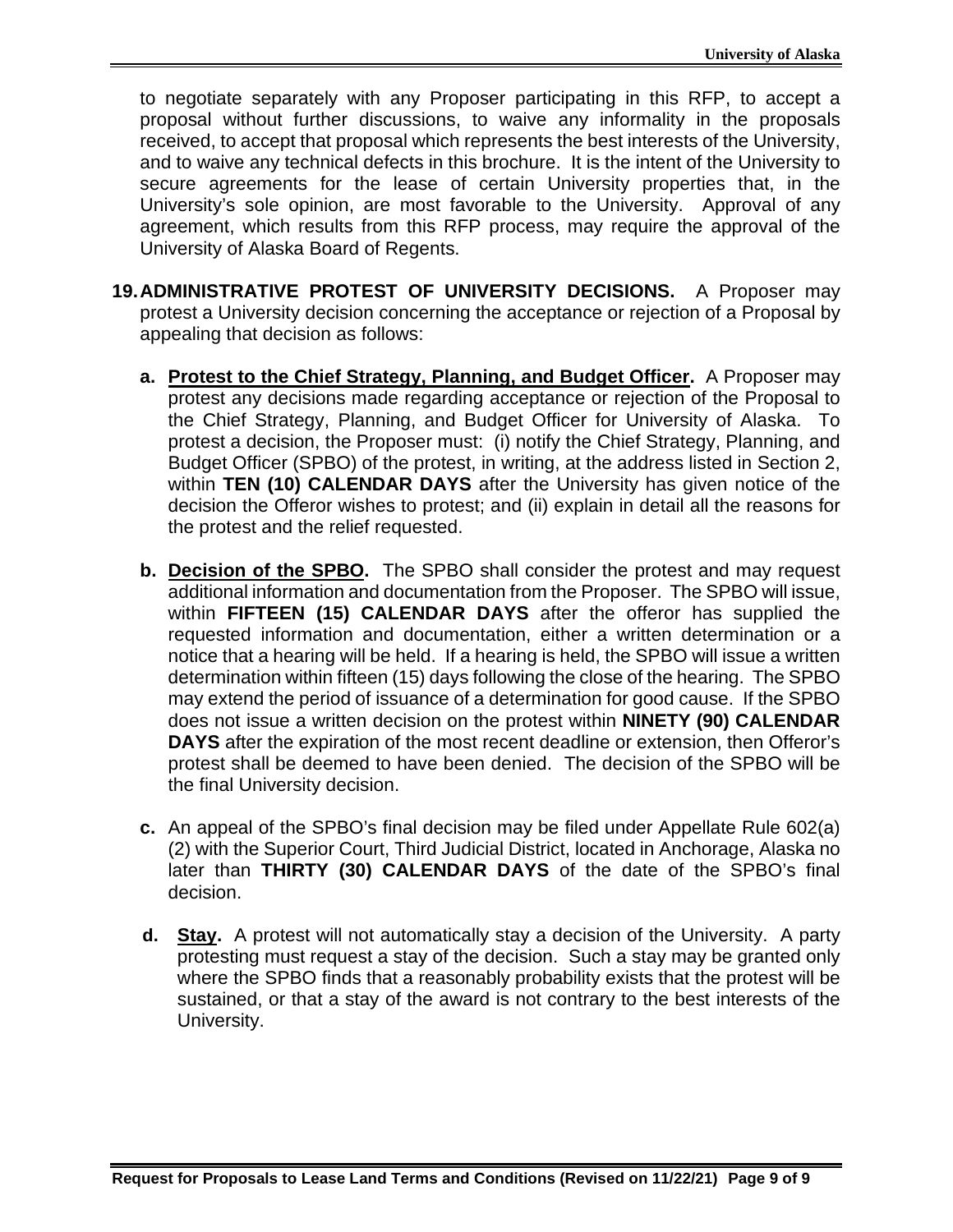to negotiate separately with any Proposer participating in this RFP, to accept a proposal without further discussions, to waive any informality in the proposals received, to accept that proposal which represents the best interests of the University, and to waive any technical defects in this brochure. It is the intent of the University to secure agreements for the lease of certain University properties that, in the University's sole opinion, are most favorable to the University. Approval of any agreement, which results from this RFP process, may require the approval of the University of Alaska Board of Regents.

- **19.ADMINISTRATIVE PROTEST OF UNIVERSITY DECISIONS.** A Proposer may protest a University decision concerning the acceptance or rejection of a Proposal by appealing that decision as follows:
	- **a. Protest to the Chief Strategy, Planning, and Budget Officer.** A Proposer may protest any decisions made regarding acceptance or rejection of the Proposal to the Chief Strategy, Planning, and Budget Officer for University of Alaska. To protest a decision, the Proposer must: (i) notify the Chief Strategy, Planning, and Budget Officer (SPBO) of the protest, in writing, at the address listed in Section 2, within **TEN (10) CALENDAR DAYS** after the University has given notice of the decision the Offeror wishes to protest; and (ii) explain in detail all the reasons for the protest and the relief requested.
	- **b. Decision of the SPBO.** The SPBO shall consider the protest and may request additional information and documentation from the Proposer. The SPBO will issue, within **FIFTEEN (15) CALENDAR DAYS** after the offeror has supplied the requested information and documentation, either a written determination or a notice that a hearing will be held. If a hearing is held, the SPBO will issue a written determination within fifteen (15) days following the close of the hearing. The SPBO may extend the period of issuance of a determination for good cause. If the SPBO does not issue a written decision on the protest within **NINETY (90) CALENDAR DAYS** after the expiration of the most recent deadline or extension, then Offeror's protest shall be deemed to have been denied. The decision of the SPBO will be the final University decision.
	- **c.** An appeal of the SPBO's final decision may be filed under Appellate Rule 602(a) (2) with the Superior Court, Third Judicial District, located in Anchorage, Alaska no later than **THIRTY (30) CALENDAR DAYS** of the date of the SPBO's final decision.
	- **d. Stay.** A protest will not automatically stay a decision of the University. A party protesting must request a stay of the decision. Such a stay may be granted only where the SPBO finds that a reasonably probability exists that the protest will be sustained, or that a stay of the award is not contrary to the best interests of the University.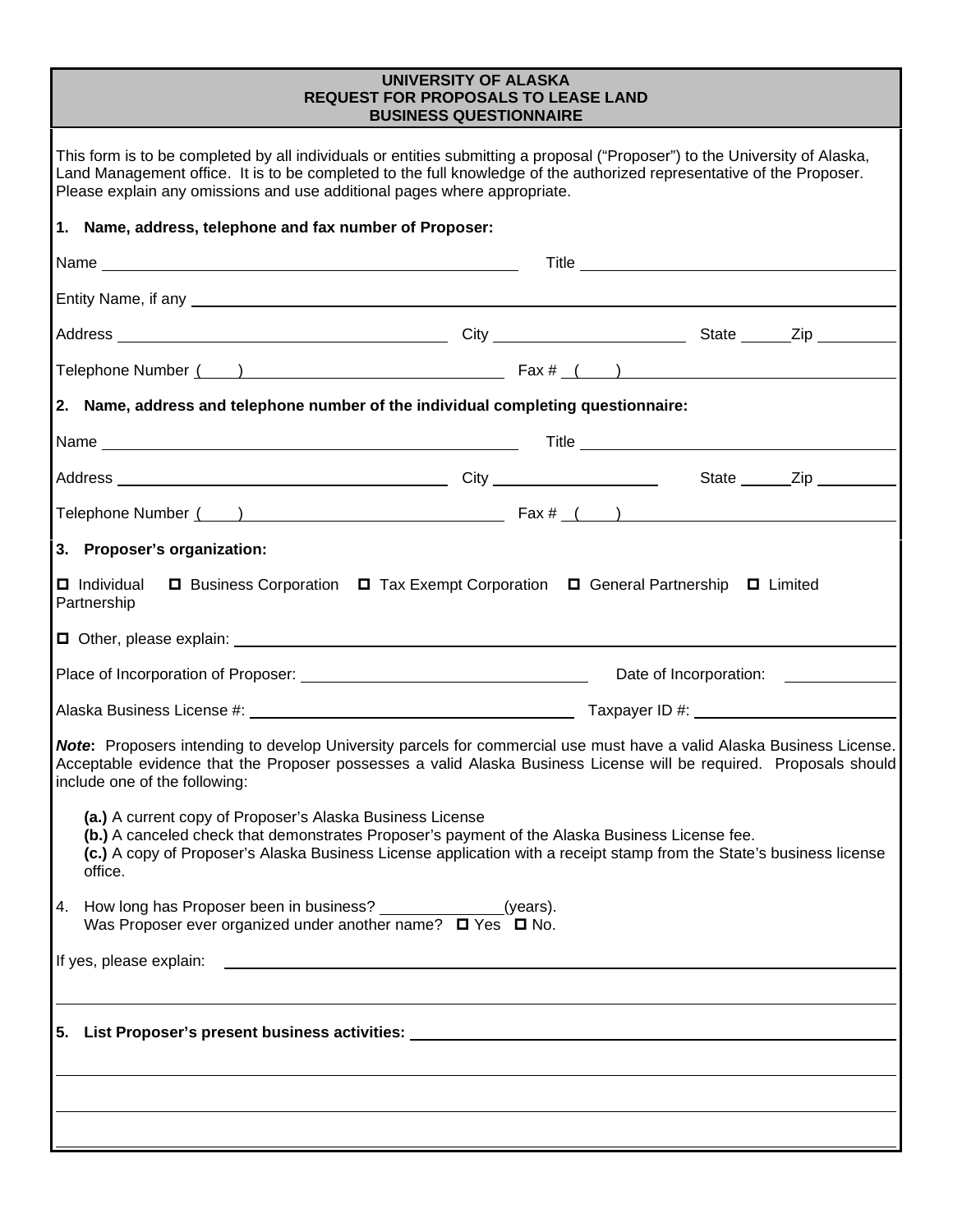#### **UNIVERSITY OF ALASKA REQUEST FOR PROPOSALS TO LEASE LAND BUSINESS QUESTIONNAIRE**

| This form is to be completed by all individuals or entities submitting a proposal ("Proposer") to the University of Alaska,<br>Land Management office. It is to be completed to the full knowledge of the authorized representative of the Proposer.<br>Please explain any omissions and use additional pages where appropriate. |  |  |  |  |
|----------------------------------------------------------------------------------------------------------------------------------------------------------------------------------------------------------------------------------------------------------------------------------------------------------------------------------|--|--|--|--|
| 1. Name, address, telephone and fax number of Proposer:                                                                                                                                                                                                                                                                          |  |  |  |  |
|                                                                                                                                                                                                                                                                                                                                  |  |  |  |  |
|                                                                                                                                                                                                                                                                                                                                  |  |  |  |  |
|                                                                                                                                                                                                                                                                                                                                  |  |  |  |  |
|                                                                                                                                                                                                                                                                                                                                  |  |  |  |  |
| 2. Name, address and telephone number of the individual completing questionnaire:                                                                                                                                                                                                                                                |  |  |  |  |
|                                                                                                                                                                                                                                                                                                                                  |  |  |  |  |
|                                                                                                                                                                                                                                                                                                                                  |  |  |  |  |
| Telephone Number $\frac{1}{1}$ $\frac{1}{1}$ $\frac{1}{1}$ $\frac{1}{1}$ $\frac{1}{1}$ $\frac{1}{1}$ $\frac{1}{1}$ $\frac{1}{1}$ $\frac{1}{1}$ $\frac{1}{1}$ $\frac{1}{1}$ $\frac{1}{1}$ $\frac{1}{1}$ $\frac{1}{1}$ $\frac{1}{1}$ $\frac{1}{1}$ $\frac{1}{1}$ $\frac{1}{1}$ $\frac{1}{1}$ $\frac{1}{1}$ $\frac{$                |  |  |  |  |
| 3. Proposer's organization:                                                                                                                                                                                                                                                                                                      |  |  |  |  |
| □ Business Corporation □ Tax Exempt Corporation □ General Partnership □ Limited<br><b>□</b> Individual<br>Partnership                                                                                                                                                                                                            |  |  |  |  |
|                                                                                                                                                                                                                                                                                                                                  |  |  |  |  |
|                                                                                                                                                                                                                                                                                                                                  |  |  |  |  |
|                                                                                                                                                                                                                                                                                                                                  |  |  |  |  |
| Note: Proposers intending to develop University parcels for commercial use must have a valid Alaska Business License.<br>Acceptable evidence that the Proposer possesses a valid Alaska Business License will be required. Proposals should<br>include one of the following:                                                     |  |  |  |  |
| (a.) A current copy of Proposer's Alaska Business License<br>(b.) A canceled check that demonstrates Proposer's payment of the Alaska Business License fee.<br>(c.) A copy of Proposer's Alaska Business License application with a receipt stamp from the State's business license<br>office.                                   |  |  |  |  |
| 4. How long has Proposer been in business? _______________(years).<br>Was Proposer ever organized under another name? $\Box$ Yes $\Box$ No.                                                                                                                                                                                      |  |  |  |  |
|                                                                                                                                                                                                                                                                                                                                  |  |  |  |  |
|                                                                                                                                                                                                                                                                                                                                  |  |  |  |  |
|                                                                                                                                                                                                                                                                                                                                  |  |  |  |  |
|                                                                                                                                                                                                                                                                                                                                  |  |  |  |  |
|                                                                                                                                                                                                                                                                                                                                  |  |  |  |  |
|                                                                                                                                                                                                                                                                                                                                  |  |  |  |  |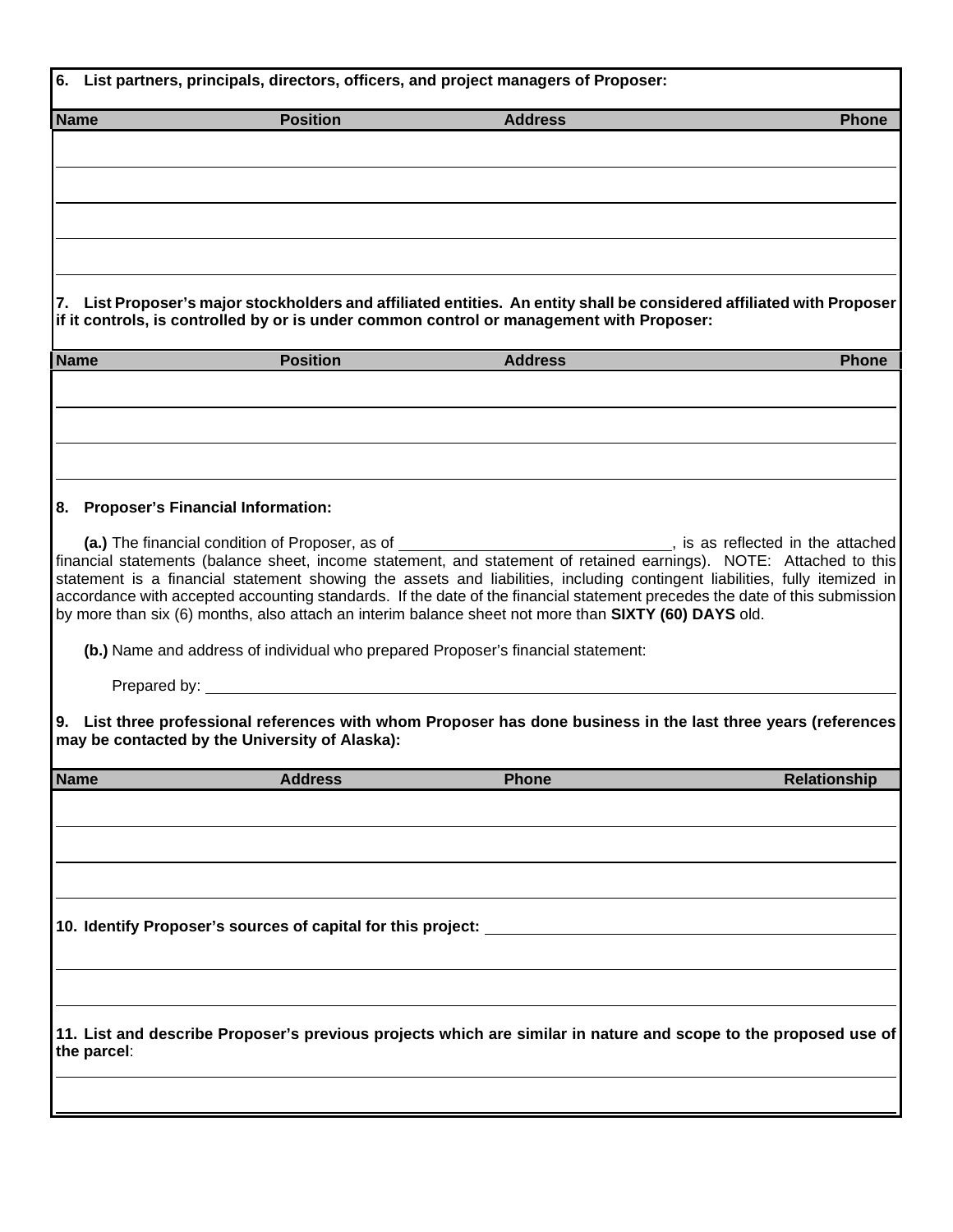|             | 6. List partners, principals, directors, officers, and project managers of Proposer:                                                                                                                                                                                                                                                                                                                                                                                                                                                                                                                        |                |                     |  |
|-------------|-------------------------------------------------------------------------------------------------------------------------------------------------------------------------------------------------------------------------------------------------------------------------------------------------------------------------------------------------------------------------------------------------------------------------------------------------------------------------------------------------------------------------------------------------------------------------------------------------------------|----------------|---------------------|--|
| <b>Name</b> | <b>Position</b>                                                                                                                                                                                                                                                                                                                                                                                                                                                                                                                                                                                             | <b>Address</b> | <b>Phone</b>        |  |
|             |                                                                                                                                                                                                                                                                                                                                                                                                                                                                                                                                                                                                             |                |                     |  |
|             |                                                                                                                                                                                                                                                                                                                                                                                                                                                                                                                                                                                                             |                |                     |  |
|             |                                                                                                                                                                                                                                                                                                                                                                                                                                                                                                                                                                                                             |                |                     |  |
|             | 7. List Proposer's major stockholders and affiliated entities. An entity shall be considered affiliated with Proposer<br>if it controls, is controlled by or is under common control or management with Proposer:                                                                                                                                                                                                                                                                                                                                                                                           |                |                     |  |
| <b>Name</b> | <b>Position</b>                                                                                                                                                                                                                                                                                                                                                                                                                                                                                                                                                                                             | <b>Address</b> | <b>Phone</b>        |  |
|             |                                                                                                                                                                                                                                                                                                                                                                                                                                                                                                                                                                                                             |                |                     |  |
|             |                                                                                                                                                                                                                                                                                                                                                                                                                                                                                                                                                                                                             |                |                     |  |
|             | 8. Proposer's Financial Information:                                                                                                                                                                                                                                                                                                                                                                                                                                                                                                                                                                        |                |                     |  |
|             | (a.) The financial condition of Proposer, as of ________________________________, is as reflected in the attached<br>financial statements (balance sheet, income statement, and statement of retained earnings). NOTE: Attached to this<br>statement is a financial statement showing the assets and liabilities, including contingent liabilities, fully itemized in<br>accordance with accepted accounting standards. If the date of the financial statement precedes the date of this submission<br>by more than six (6) months, also attach an interim balance sheet not more than SIXTY (60) DAYS old. |                |                     |  |
|             | (b.) Name and address of individual who prepared Proposer's financial statement:                                                                                                                                                                                                                                                                                                                                                                                                                                                                                                                            |                |                     |  |
|             | 9. List three professional references with whom Proposer has done business in the last three years (references<br>may be contacted by the University of Alaska):                                                                                                                                                                                                                                                                                                                                                                                                                                            |                |                     |  |
| <b>Name</b> | <b>Address</b>                                                                                                                                                                                                                                                                                                                                                                                                                                                                                                                                                                                              | <b>Phone</b>   | <b>Relationship</b> |  |
|             |                                                                                                                                                                                                                                                                                                                                                                                                                                                                                                                                                                                                             |                |                     |  |
|             | 10. Identify Proposer's sources of capital for this project:                                                                                                                                                                                                                                                                                                                                                                                                                                                                                                                                                |                |                     |  |
|             |                                                                                                                                                                                                                                                                                                                                                                                                                                                                                                                                                                                                             |                |                     |  |
|             | 11. List and describe Proposer's previous projects which are similar in nature and scope to the proposed use of<br>the parcel:                                                                                                                                                                                                                                                                                                                                                                                                                                                                              |                |                     |  |
|             |                                                                                                                                                                                                                                                                                                                                                                                                                                                                                                                                                                                                             |                |                     |  |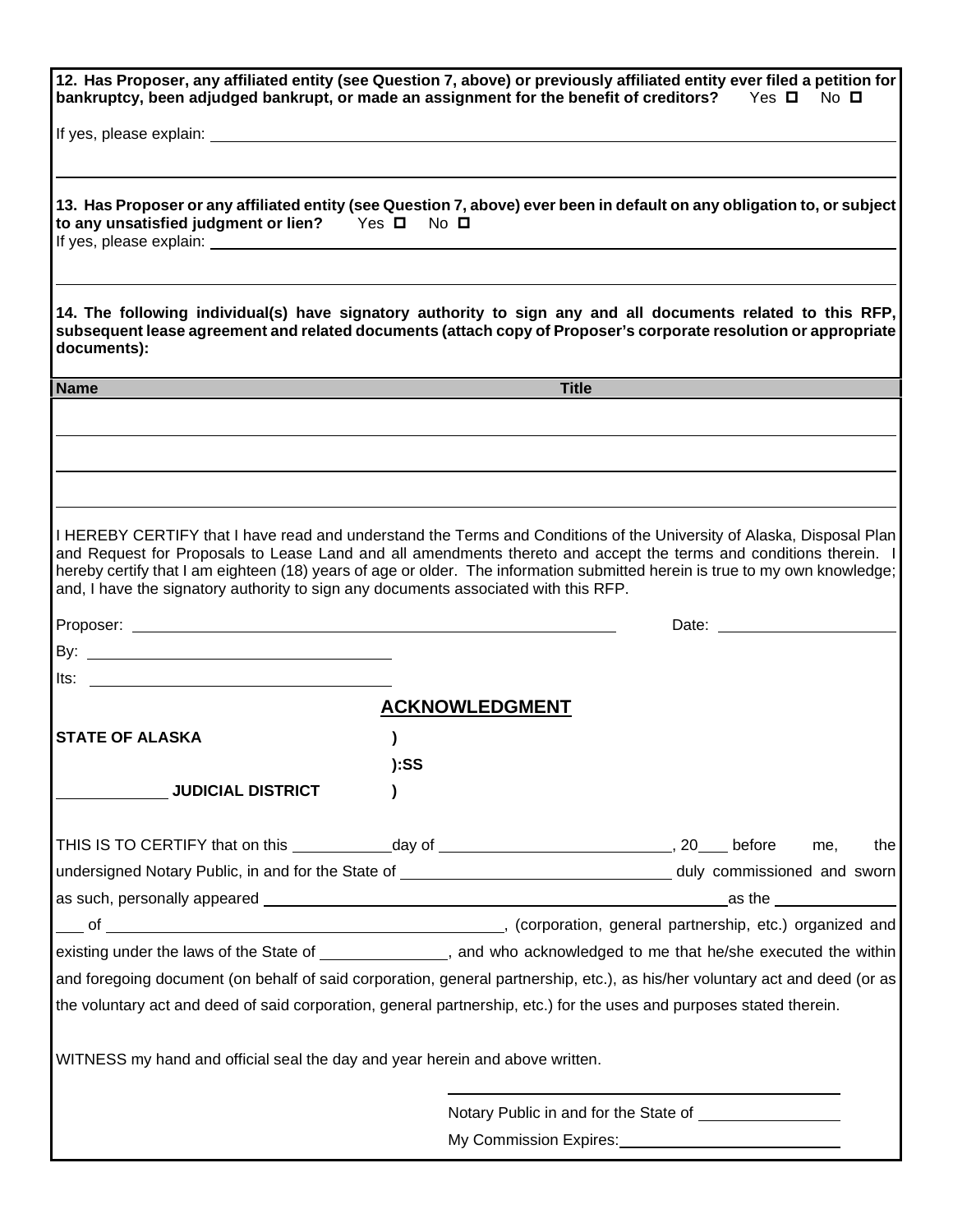|                                                                                                  |                       | 12. Has Proposer, any affiliated entity (see Question 7, above) or previously affiliated entity ever filed a petition for<br>bankruptcy, been adjudged bankrupt, or made an assignment for the benefit of creditors? Yes $\square$ No $\square$                                                                                                                                                           |
|--------------------------------------------------------------------------------------------------|-----------------------|-----------------------------------------------------------------------------------------------------------------------------------------------------------------------------------------------------------------------------------------------------------------------------------------------------------------------------------------------------------------------------------------------------------|
|                                                                                                  |                       |                                                                                                                                                                                                                                                                                                                                                                                                           |
| to any unsatisfied judgment or lien? Yes □ No □                                                  |                       | 13. Has Proposer or any affiliated entity (see Question 7, above) ever been in default on any obligation to, or subject                                                                                                                                                                                                                                                                                   |
| documents):                                                                                      |                       | 14. The following individual(s) have signatory authority to sign any and all documents related to this RFP,<br>subsequent lease agreement and related documents (attach copy of Proposer's corporate resolution or appropriate                                                                                                                                                                            |
| <b>Name</b>                                                                                      |                       | <b>Title</b>                                                                                                                                                                                                                                                                                                                                                                                              |
|                                                                                                  |                       |                                                                                                                                                                                                                                                                                                                                                                                                           |
| and, I have the signatory authority to sign any documents associated with this RFP.              |                       | I HEREBY CERTIFY that I have read and understand the Terms and Conditions of the University of Alaska, Disposal Plan<br>and Request for Proposals to Lease Land and all amendments thereto and accept the terms and conditions therein. I<br>hereby certify that I am eighteen (18) years of age or older. The information submitted herein is true to my own knowledge;<br>Date: <u>________________</u> |
|                                                                                                  |                       |                                                                                                                                                                                                                                                                                                                                                                                                           |
|                                                                                                  | <b>ACKNOWLEDGMENT</b> |                                                                                                                                                                                                                                                                                                                                                                                                           |
|                                                                                                  |                       |                                                                                                                                                                                                                                                                                                                                                                                                           |
| <b>STATE OF ALASKA</b>                                                                           |                       |                                                                                                                                                                                                                                                                                                                                                                                                           |
|                                                                                                  | ):SS                  |                                                                                                                                                                                                                                                                                                                                                                                                           |
| <b>JUDICIAL DISTRICT</b>                                                                         |                       |                                                                                                                                                                                                                                                                                                                                                                                                           |
| THIS IS TO CERTIFY that on this ______________day of ____________________________, 20____ before |                       | me,<br>the                                                                                                                                                                                                                                                                                                                                                                                                |
|                                                                                                  |                       |                                                                                                                                                                                                                                                                                                                                                                                                           |
|                                                                                                  |                       |                                                                                                                                                                                                                                                                                                                                                                                                           |
|                                                                                                  |                       |                                                                                                                                                                                                                                                                                                                                                                                                           |
|                                                                                                  |                       |                                                                                                                                                                                                                                                                                                                                                                                                           |
|                                                                                                  |                       | as the $\_\_$<br>existing under the laws of the State of ______________, and who acknowledged to me that he/she executed the within<br>and foregoing document (on behalf of said corporation, general partnership, etc.), as his/her voluntary act and deed (or as                                                                                                                                        |
|                                                                                                  |                       | the voluntary act and deed of said corporation, general partnership, etc.) for the uses and purposes stated therein.                                                                                                                                                                                                                                                                                      |
| WITNESS my hand and official seal the day and year herein and above written.                     |                       |                                                                                                                                                                                                                                                                                                                                                                                                           |
|                                                                                                  |                       | Notary Public in and for the State of _______                                                                                                                                                                                                                                                                                                                                                             |